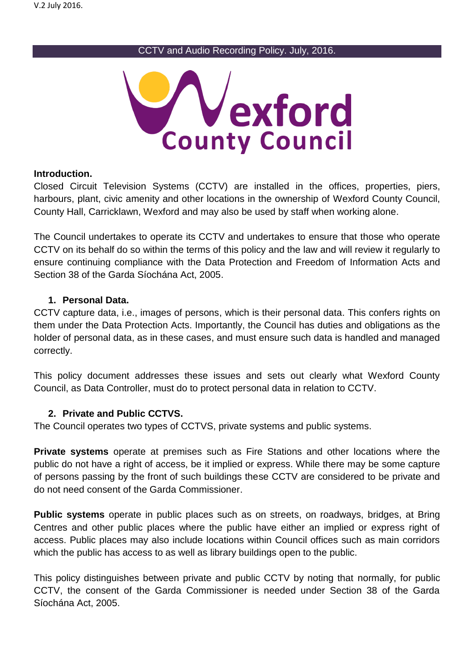CCTV and Audio Recording Policy. July, 2016.



#### **Introduction.**

Closed Circuit Television Systems (CCTV) are installed in the offices, properties, piers, harbours, plant, civic amenity and other locations in the ownership of Wexford County Council, County Hall, Carricklawn, Wexford and may also be used by staff when working alone.

The Council undertakes to operate its CCTV and undertakes to ensure that those who operate CCTV on its behalf do so within the terms of this policy and the law and will review it regularly to ensure continuing compliance with the Data Protection and Freedom of Information Acts and Section 38 of the Garda Síochána Act, 2005.

#### **1. Personal Data.**

CCTV capture data, i.e., images of persons, which is their personal data. This confers rights on them under the Data Protection Acts. Importantly, the Council has duties and obligations as the holder of personal data, as in these cases, and must ensure such data is handled and managed correctly.

This policy document addresses these issues and sets out clearly what Wexford County Council, as Data Controller, must do to protect personal data in relation to CCTV.

### **2. Private and Public CCTVS.**

The Council operates two types of CCTVS, private systems and public systems.

**Private systems** operate at premises such as Fire Stations and other locations where the public do not have a right of access, be it implied or express. While there may be some capture of persons passing by the front of such buildings these CCTV are considered to be private and do not need consent of the Garda Commissioner.

**Public systems** operate in public places such as on streets, on roadways, bridges, at Bring Centres and other public places where the public have either an implied or express right of access. Public places may also include locations within Council offices such as main corridors which the public has access to as well as library buildings open to the public.

This policy distinguishes between private and public CCTV by noting that normally, for public CCTV, the consent of the Garda Commissioner is needed under Section 38 of the Garda Síochána Act, 2005.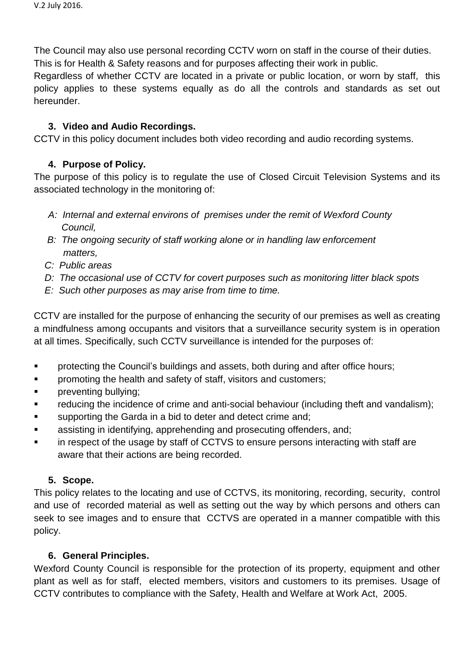The Council may also use personal recording CCTV worn on staff in the course of their duties. This is for Health & Safety reasons and for purposes affecting their work in public.

Regardless of whether CCTV are located in a private or public location, or worn by staff, this policy applies to these systems equally as do all the controls and standards as set out hereunder.

### **3. Video and Audio Recordings.**

CCTV in this policy document includes both video recording and audio recording systems.

## **4. Purpose of Policy.**

The purpose of this policy is to regulate the use of Closed Circuit Television Systems and its associated technology in the monitoring of:

- *A: Internal and external environs of premises under the remit of Wexford County Council,*
- *B: The ongoing security of staff working alone or in handling law enforcement matters,*
- *C: Public areas*
- *D: The occasional use of CCTV for covert purposes such as monitoring litter black spots*
- *E: Such other purposes as may arise from time to time.*

CCTV are installed for the purpose of enhancing the security of our premises as well as creating a mindfulness among occupants and visitors that a surveillance security system is in operation at all times. Specifically, such CCTV surveillance is intended for the purposes of:

- **•** protecting the Council's buildings and assets, both during and after office hours;
- **Parther** promoting the health and safety of staff, visitors and customers;
- **Preventing bullying;**
- **Fig.** reducing the incidence of crime and anti-social behaviour (including theft and vandalism);
- **EXECT** supporting the Garda in a bid to deter and detect crime and;
- assisting in identifying, apprehending and prosecuting offenders, and;
- in respect of the usage by staff of CCTVS to ensure persons interacting with staff are aware that their actions are being recorded.

# **5. Scope.**

This policy relates to the locating and use of CCTVS, its monitoring, recording, security, control and use of recorded material as well as setting out the way by which persons and others can seek to see images and to ensure that CCTVS are operated in a manner compatible with this policy.

# **6. General Principles.**

Wexford County Council is responsible for the protection of its property, equipment and other plant as well as for staff, elected members, visitors and customers to its premises. Usage of CCTV contributes to compliance with the Safety, Health and Welfare at Work Act, 2005.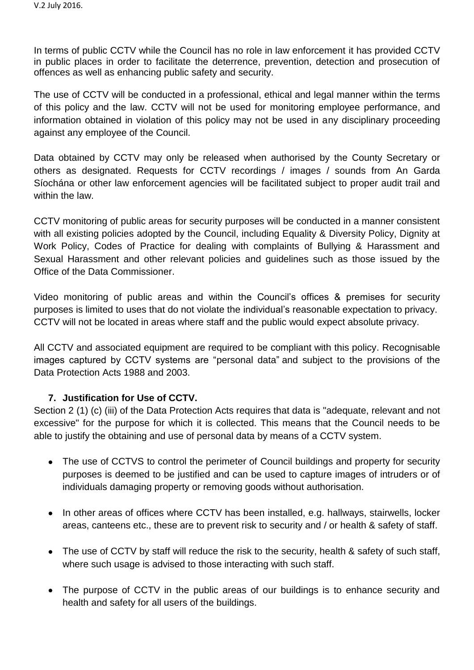In terms of public CCTV while the Council has no role in law enforcement it has provided CCTV in public places in order to facilitate the deterrence, prevention, detection and prosecution of offences as well as enhancing public safety and security.

The use of CCTV will be conducted in a professional, ethical and legal manner within the terms of this policy and the law. CCTV will not be used for monitoring employee performance, and information obtained in violation of this policy may not be used in any disciplinary proceeding against any employee of the Council.

Data obtained by CCTV may only be released when authorised by the County Secretary or others as designated. Requests for CCTV recordings / images / sounds from An Garda Síochána or other law enforcement agencies will be facilitated subject to proper audit trail and within the law.

CCTV monitoring of public areas for security purposes will be conducted in a manner consistent with all existing policies adopted by the Council, including Equality & Diversity Policy, Dignity at Work Policy, Codes of Practice for dealing with complaints of Bullying & Harassment and Sexual Harassment and other relevant policies and guidelines such as those issued by the Office of the Data Commissioner.

Video monitoring of public areas and within the Council's offices & premises for security purposes is limited to uses that do not violate the individual's reasonable expectation to privacy. CCTV will not be located in areas where staff and the public would expect absolute privacy.

All CCTV and associated equipment are required to be compliant with this policy. Recognisable images captured by CCTV systems are ["personal data"](http://www.dataprotection.ie/viewdoc.asp?m=m&fn=/documents/guidance/310604.htm) and subject to the provisions of the [Data Protection Acts](http://www.dataprotection.ie/viewdoc.asp?DocID=796&ad=1) 1988 and 2003.

### **7. Justification for Use of CCTV.**

Section 2 (1) (c) (iii) of the Data Protection Acts requires that data is "adequate, relevant and not excessive" for the purpose for which it is collected. This means that the Council needs to be able to justify the obtaining and use of personal data by means of a CCTV system.

- The use of CCTVS to control the perimeter of Council buildings and property for security purposes is deemed to be justified and can be used to capture images of intruders or of individuals damaging property or removing goods without authorisation.
- In other areas of offices where CCTV has been installed, e.g. hallways, stairwells, locker areas, canteens etc., these are to prevent risk to security and / or health & safety of staff.
- The use of CCTV by staff will reduce the risk to the security, health & safety of such staff, where such usage is advised to those interacting with such staff.
- The purpose of CCTV in the public areas of our buildings is to enhance security and health and safety for all users of the buildings.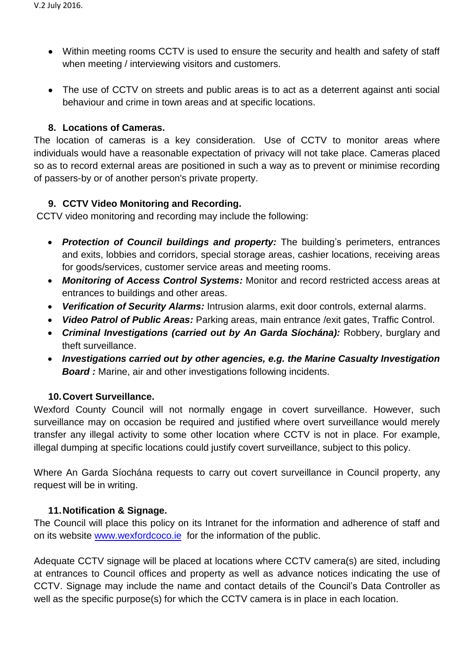- Within meeting rooms CCTV is used to ensure the security and health and safety of staff when meeting / interviewing visitors and customers.
- The use of CCTV on streets and public areas is to act as a deterrent against anti social behaviour and crime in town areas and at specific locations.

### **8. Locations of Cameras.**

The location of cameras is a key consideration. Use of CCTV to monitor areas where individuals would have a reasonable expectation of privacy will not take place. Cameras placed so as to record external areas are positioned in such a way as to prevent or minimise recording of passers-by or of another person's private property.

## **9. CCTV Video Monitoring and Recording.**

CCTV video monitoring and recording may include the following:

- *Protection of Council buildings and property:* The building's perimeters, entrances and exits, lobbies and corridors, special storage areas, cashier locations, receiving areas for goods/services, customer service areas and meeting rooms.
- *Monitoring of Access Control Systems:* Monitor and record restricted access areas at entrances to buildings and other areas.
- *Verification of Security Alarms:* Intrusion alarms, exit door controls, external alarms.
- *Video Patrol of Public Areas:* Parking areas, main entrance /exit gates, Traffic Control.
- *Criminal Investigations (carried out by An Garda Síochána):* Robbery, burglary and theft surveillance.
- *Investigations carried out by other agencies, e.g. the Marine Casualty Investigation*  **Board:** Marine, air and other investigations following incidents.

# **10.Covert Surveillance.**

Wexford County Council will not normally engage in covert surveillance. However, such surveillance may on occasion be required and justified where overt surveillance would merely transfer any illegal activity to some other location where CCTV is not in place. For example, illegal dumping at specific locations could justify covert surveillance, subject to this policy.

Where An Garda Síochána requests to carry out covert surveillance in Council property, any request will be in writing.

### **11.Notification & Signage.**

The Council will place this policy on its Intranet for the information and adherence of staff and on its website [www.wexfordcoco.ie](http://www.wexfordcoco.ie/) for the information of the public.

Adequate CCTV signage will be placed at locations where CCTV camera(s) are sited, including at entrances to Council offices and property as well as advance notices indicating the use of CCTV. Signage may include the name and contact details of the Council's Data Controller as well as the specific purpose(s) for which the CCTV camera is in place in each location.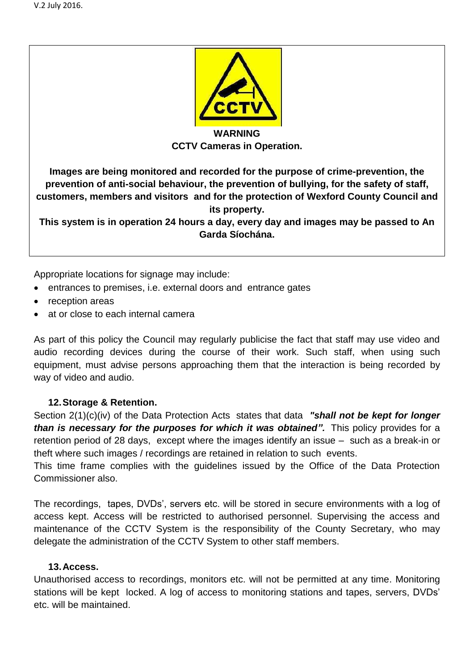

**CCTV Cameras in Operation.**

**Images are being monitored and recorded for the purpose of crime-prevention, the prevention of anti-social behaviour, the prevention of bullying, for the safety of staff, customers, members and visitors and for the protection of Wexford County Council and its property.** 

**This system is in operation 24 hours a day, every day and images may be passed to An Garda Síochána.** 

Appropriate locations for signage may include:

- entrances to premises, i.e. external doors and entrance gates
- reception areas
- at or close to each internal camera

As part of this policy the Council may regularly publicise the fact that staff may use video and audio recording devices during the course of their work. Such staff, when using such equipment, must advise persons approaching them that the interaction is being recorded by way of video and audio.

# **12.Storage & Retention.**

Section 2(1)(c)(iv) of the Data Protection Acts states that data *"shall not be kept for longer than is necessary for the purposes for which it was obtained".* This policy provides for a retention period of 28 days, except where the images identify an issue – such as a break-in or theft where such images / recordings are retained in relation to such events.

This time frame complies with the guidelines issued by the Office of the Data Protection Commissioner also.

The recordings, tapes, DVDs', servers etc. will be stored in secure environments with a log of access kept. Access will be restricted to authorised personnel. Supervising the access and maintenance of the CCTV System is the responsibility of the County Secretary, who may delegate the administration of the CCTV System to other staff members.

### **13.Access.**

Unauthorised access to recordings, monitors etc. will not be permitted at any time. Monitoring stations will be kept locked. A log of access to monitoring stations and tapes, servers, DVDs' etc. will be maintained.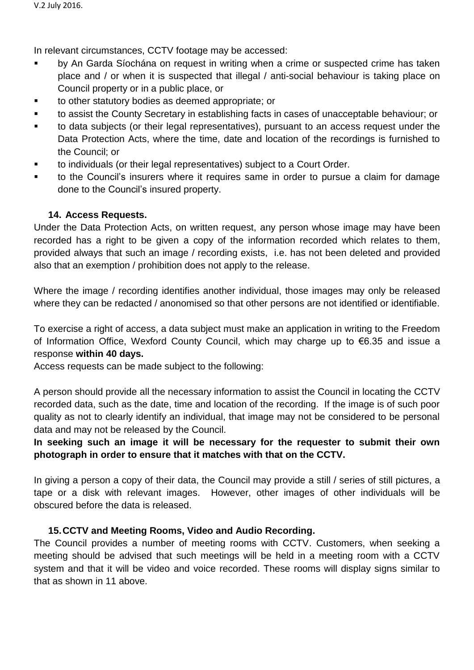In relevant circumstances, CCTV footage may be accessed:

- by An Garda Síochána on request in writing when a crime or suspected crime has taken place and / or when it is suspected that illegal / anti-social behaviour is taking place on Council property or in a public place, or
- to other statutory bodies as deemed appropriate; or
- to assist the County Secretary in establishing facts in cases of unacceptable behaviour; or
- to data subjects (or their legal representatives), pursuant to an access request under the Data Protection Acts, where the time, date and location of the recordings is furnished to the Council; or
- to individuals (or their legal representatives) subject to a Court Order.
- to the Council's insurers where it requires same in order to pursue a claim for damage done to the Council's insured property.

## **14. Access Requests.**

Under the Data Protection Acts, on written request, any person whose image may have been recorded has a right to be given a copy of the information recorded which relates to them, provided always that such an image / recording exists, i.e. has not been deleted and provided also that an exemption / prohibition does not apply to the release.

Where the image / recording identifies another individual, those images may only be released where they can be redacted / anonomised so that other persons are not identified or identifiable.

To exercise a right of access, a data subject must make an application in writing to the Freedom of Information Office, Wexford County Council, which may charge up to €6.35 and issue a response **within 40 days.** 

Access requests can be made subject to the following:

A person should provide all the necessary information to assist the Council in locating the CCTV recorded data, such as the date, time and location of the recording. If the image is of such poor quality as not to clearly identify an individual, that image may not be considered to be personal data and may not be released by the Council.

# **In seeking such an image it will be necessary for the requester to submit their own photograph in order to ensure that it matches with that on the CCTV.**

In giving a person a copy of their data, the Council may provide a still / series of still pictures, a tape or a disk with relevant images. However, other images of other individuals will be obscured before the data is released.

# **15.CCTV and Meeting Rooms, Video and Audio Recording.**

The Council provides a number of meeting rooms with CCTV. Customers, when seeking a meeting should be advised that such meetings will be held in a meeting room with a CCTV system and that it will be video and voice recorded. These rooms will display signs similar to that as shown in 11 above.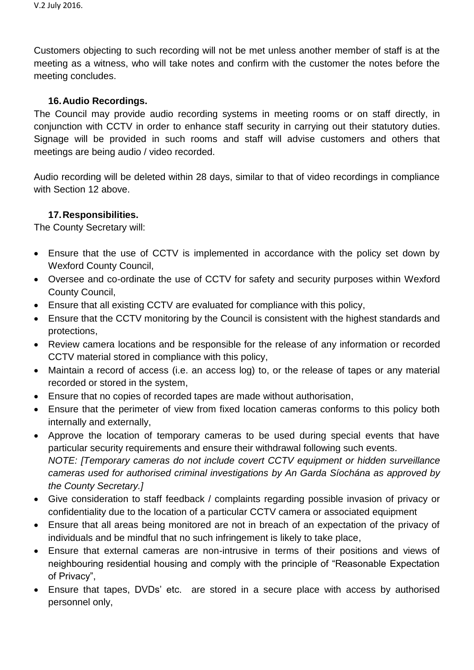Customers objecting to such recording will not be met unless another member of staff is at the meeting as a witness, who will take notes and confirm with the customer the notes before the meeting concludes.

### **16.Audio Recordings.**

The Council may provide audio recording systems in meeting rooms or on staff directly, in conjunction with CCTV in order to enhance staff security in carrying out their statutory duties. Signage will be provided in such rooms and staff will advise customers and others that meetings are being audio / video recorded.

Audio recording will be deleted within 28 days, similar to that of video recordings in compliance with Section 12 above

## **17.Responsibilities.**

The County Secretary will:

- Ensure that the use of CCTV is implemented in accordance with the policy set down by Wexford County Council,
- Oversee and co-ordinate the use of CCTV for safety and security purposes within Wexford County Council,
- Ensure that all existing CCTV are evaluated for compliance with this policy,
- Ensure that the CCTV monitoring by the Council is consistent with the highest standards and protections,
- Review camera locations and be responsible for the release of any information or recorded CCTV material stored in compliance with this policy,
- Maintain a record of access (i.e. an access log) to, or the release of tapes or any material recorded or stored in the system,
- Ensure that no copies of recorded tapes are made without authorisation,
- Ensure that the perimeter of view from fixed location cameras conforms to this policy both internally and externally,
- Approve the location of temporary cameras to be used during special events that have particular security requirements and ensure their withdrawal following such events. *NOTE: [Temporary cameras do not include covert CCTV equipment or hidden surveillance cameras used for authorised criminal investigations by An Garda Síochána as approved by the County Secretary.]*
- Give consideration to staff feedback / complaints regarding possible invasion of privacy or confidentiality due to the location of a particular CCTV camera or associated equipment
- Ensure that all areas being monitored are not in breach of an expectation of the privacy of individuals and be mindful that no such infringement is likely to take place,
- Ensure that external cameras are non-intrusive in terms of their positions and views of neighbouring residential housing and comply with the principle of "Reasonable Expectation of Privacy",
- Ensure that tapes, DVDs' etc. are stored in a secure place with access by authorised personnel only,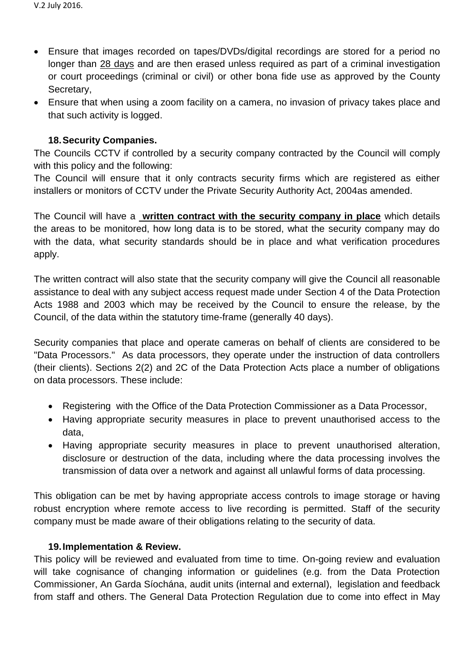- Ensure that images recorded on tapes/DVDs/digital recordings are stored for a period no longer than 28 days and are then erased unless required as part of a criminal investigation or court proceedings (criminal or civil) or other bona fide use as approved by the County Secretary,
- Ensure that when using a zoom facility on a camera, no invasion of privacy takes place and that such activity is logged.

### **18.Security Companies.**

The Councils CCTV if controlled by a security company contracted by the Council will comply with this policy and the following:

The Council will ensure that it only contracts security firms which are registered as either installers or monitors of CCTV under the Private Security Authority Act, 2004as amended.

The Council will have a **written contract with the security company in place** which details the areas to be monitored, how long data is to be stored, what the security company may do with the data, what security standards should be in place and what verification procedures apply.

The written contract will also state that the security company will give the Council all reasonable assistance to deal with any subject access request made under Section 4 of the Data Protection Acts 1988 and 2003 which may be received by the Council to ensure the release, by the Council, of the data within the statutory time-frame (generally 40 days).

Security companies that place and operate cameras on behalf of clients are considered to be "Data Processors." As data processors, they operate under the instruction of data controllers (their clients). Sections 2(2) and 2C of the Data Protection Acts place a number of obligations on data processors. These include:

- Registering with the Office of the Data Protection Commissioner as a Data Processor,
- Having appropriate security measures in place to prevent unauthorised access to the data,
- Having appropriate security measures in place to prevent unauthorised alteration, disclosure or destruction of the data, including where the data processing involves the transmission of data over a network and against all unlawful forms of data processing.

This obligation can be met by having appropriate access controls to image storage or having robust encryption where remote access to live recording is permitted. Staff of the security company must be made aware of their obligations relating to the security of data.

### **19.Implementation & Review.**

This policy will be reviewed and evaluated from time to time. On-going review and evaluation will take cognisance of changing information or guidelines (e.g. from the Data Protection Commissioner, An Garda Síochána, audit units (internal and external), legislation and feedback from staff and others. The General Data Protection Regulation due to come into effect in May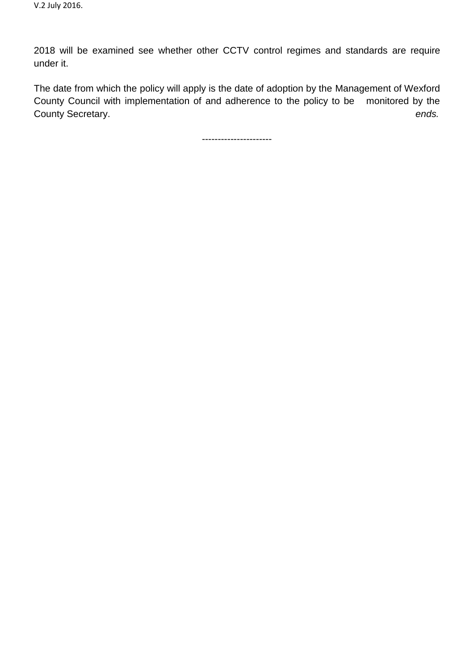2018 will be examined see whether other CCTV control regimes and standards are require under it.

The date from which the policy will apply is the date of adoption by the Management of Wexford County Council with implementation of and adherence to the policy to be monitored by the County Secretary. *ends.*

----------------------